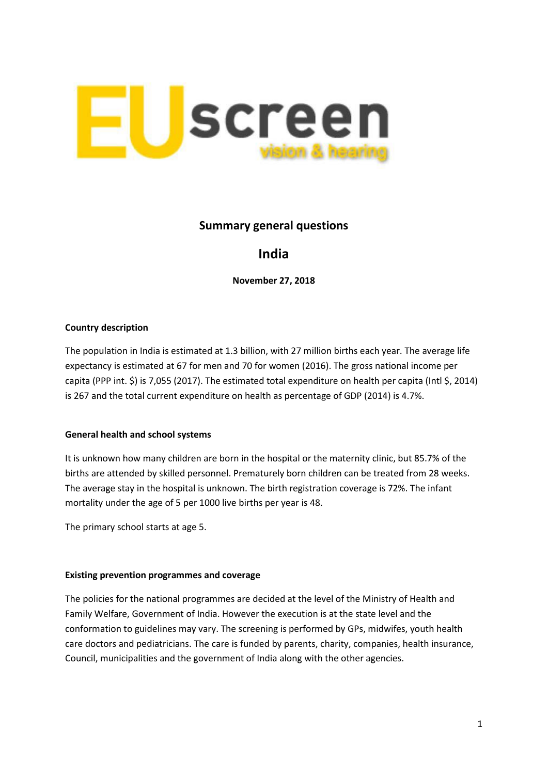

## **Summary general questions**

# **India**

**November 27, 2018**

#### **Country description**

The population in India is estimated at 1.3 billion, with 27 million births each year. The average life expectancy is estimated at 67 for men and 70 for women (2016). The gross national income per capita (PPP int. \$) is 7,055 (2017). The estimated total expenditure on health per capita (Intl \$, 2014) is 267 and the total current expenditure on health as percentage of GDP (2014) is 4.7%.

### **General health and school systems**

It is unknown how many children are born in the hospital or the maternity clinic, but 85.7% of the births are attended by skilled personnel. Prematurely born children can be treated from 28 weeks. The average stay in the hospital is unknown. The birth registration coverage is 72%. The infant mortality under the age of 5 per 1000 live births per year is 48.

The primary school starts at age 5.

#### **Existing prevention programmes and coverage**

The policies for the national programmes are decided at the level of the Ministry of Health and Family Welfare, Government of India. However the execution is at the state level and the conformation to guidelines may vary. The screening is performed by GPs, midwifes, youth health care doctors and pediatricians. The care is funded by parents, charity, companies, health insurance, Council, municipalities and the government of India along with the other agencies.